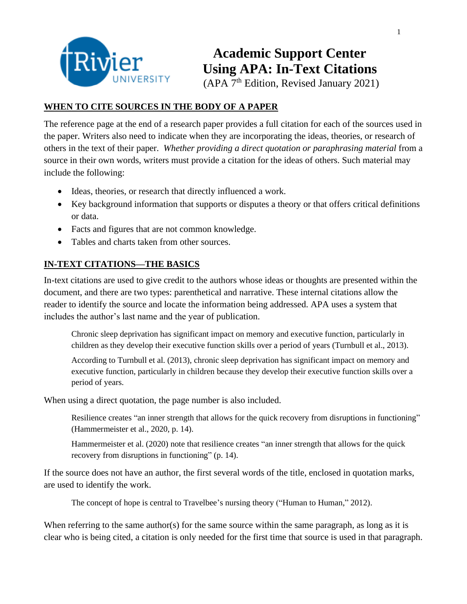

 **Academic Support Center Using APA: In-Text Citations** (APA 7<sup>th</sup> Edition, Revised January 2021)

## **WHEN TO CITE SOURCES IN THE BODY OF A PAPER**

The reference page at the end of a research paper provides a full citation for each of the sources used in the paper. Writers also need to indicate when they are incorporating the ideas, theories, or research of others in the text of their paper. *Whether providing a direct quotation or paraphrasing material* from a source in their own words, writers must provide a citation for the ideas of others. Such material may include the following:

- Ideas, theories, or research that directly influenced a work.
- Key background information that supports or disputes a theory or that offers critical definitions or data.
- Facts and figures that are not common knowledge.
- Tables and charts taken from other sources.

# **IN-TEXT CITATIONS—THE BASICS**

In-text citations are used to give credit to the authors whose ideas or thoughts are presented within the document, and there are two types: parenthetical and narrative. These internal citations allow the reader to identify the source and locate the information being addressed. APA uses a system that includes the author's last name and the year of publication.

Chronic sleep deprivation has significant impact on memory and executive function, particularly in children as they develop their executive function skills over a period of years (Turnbull et al., 2013).

According to Turnbull et al. (2013), chronic sleep deprivation has significant impact on memory and executive function, particularly in children because they develop their executive function skills over a period of years.

When using a direct quotation, the page number is also included.

Resilience creates "an inner strength that allows for the quick recovery from disruptions in functioning" (Hammermeister et al., 2020, p. 14).

Hammermeister et al. (2020) note that resilience creates "an inner strength that allows for the quick recovery from disruptions in functioning" (p. 14).

If the source does not have an author, the first several words of the title, enclosed in quotation marks, are used to identify the work.

The concept of hope is central to Travelbee's nursing theory ("Human to Human," 2012).

When referring to the same author(s) for the same source within the same paragraph, as long as it is clear who is being cited, a citation is only needed for the first time that source is used in that paragraph.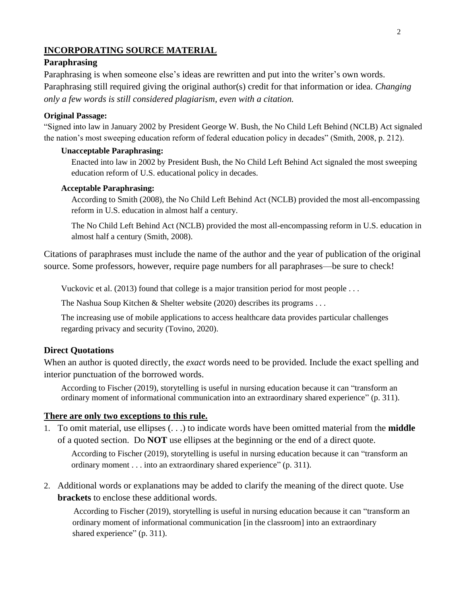### **INCORPORATING SOURCE MATERIAL**

### **Paraphrasing**

Paraphrasing is when someone else's ideas are rewritten and put into the writer's own words. Paraphrasing still required giving the original author(s) credit for that information or idea. *Changing only a few words is still considered plagiarism, even with a citation.* 

#### **Original Passage:**

"Signed into law in January 2002 by President George W. Bush, the No Child Left Behind (NCLB) Act signaled the nation's most sweeping education reform of federal education policy in decades" (Smith, 2008, p. 212).

#### **Unacceptable Paraphrasing:**

Enacted into law in 2002 by President Bush, the No Child Left Behind Act signaled the most sweeping education reform of U.S. educational policy in decades.

### **Acceptable Paraphrasing:**

According to Smith (2008), the No Child Left Behind Act (NCLB) provided the most all-encompassing reform in U.S. education in almost half a century.

The No Child Left Behind Act (NCLB) provided the most all-encompassing reform in U.S. education in almost half a century (Smith, 2008).

Citations of paraphrases must include the name of the author and the year of publication of the original source. Some professors, however, require page numbers for all paraphrases—be sure to check!

Vuckovic et al. (2013) found that college is a major transition period for most people . . .

The Nashua Soup Kitchen & Shelter website (2020) describes its programs . . .

The increasing use of mobile applications to access healthcare data provides particular challenges regarding privacy and security (Tovino, 2020).

#### **Direct Quotations**

When an author is quoted directly, the *exact* words need to be provided. Include the exact spelling and interior punctuation of the borrowed words.

According to Fischer (2019), storytelling is useful in nursing education because it can "transform an ordinary moment of informational communication into an extraordinary shared experience" (p. 311).

### **There are only two exceptions to this rule.**

1. To omit material, use ellipses (. . .) to indicate words have been omitted material from the **middle** of a quoted section. Do **NOT** use ellipses at the beginning or the end of a direct quote.

According to Fischer (2019), storytelling is useful in nursing education because it can "transform an ordinary moment . . . into an extraordinary shared experience" (p. 311).

2. Additional words or explanations may be added to clarify the meaning of the direct quote. Use **brackets** to enclose these additional words.

According to Fischer (2019), storytelling is useful in nursing education because it can "transform an ordinary moment of informational communication [in the classroom] into an extraordinary shared experience" (p. 311).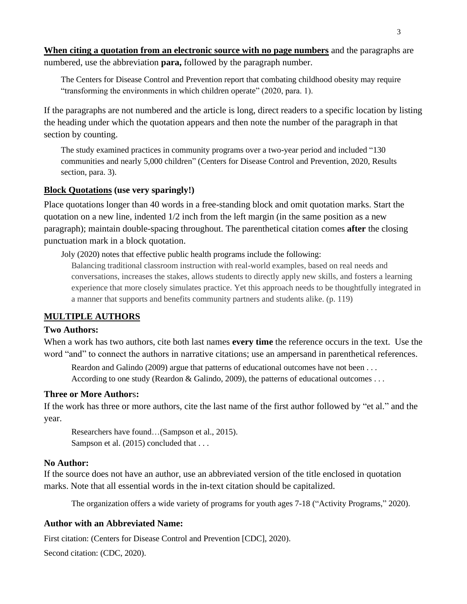**When citing a quotation from an electronic source with no page numbers** and the paragraphs are numbered, use the abbreviation **para,** followed by the paragraph number.

The Centers for Disease Control and Prevention report that combating childhood obesity may require "transforming the environments in which children operate" (2020, para. 1).

If the paragraphs are not numbered and the article is long, direct readers to a specific location by listing the heading under which the quotation appears and then note the number of the paragraph in that section by counting.

The study examined practices in community programs over a two-year period and included "130 communities and nearly 5,000 children" (Centers for Disease Control and Prevention, 2020, Results section, para. 3).

### **Block Quotations (use very sparingly!)**

Place quotations longer than 40 words in a free-standing block and omit quotation marks. Start the quotation on a new line, indented 1/2 inch from the left margin (in the same position as a new paragraph); maintain double-spacing throughout. The parenthetical citation comes **after** the closing punctuation mark in a block quotation.

Joly (2020) notes that effective public health programs include the following:

Balancing traditional classroom instruction with real-world examples, based on real needs and conversations, increases the stakes, allows students to directly apply new skills, and fosters a learning experience that more closely simulates practice. Yet this approach needs to be thoughtfully integrated in a manner that supports and benefits community partners and students alike. (p. 119)

### **MULTIPLE AUTHORS**

### **Two Authors:**

When a work has two authors, cite both last names **every time** the reference occurs in the text. Use the word "and" to connect the authors in narrative citations; use an ampersand in parenthetical references.

Reardon and Galindo (2009) argue that patterns of educational outcomes have not been ... According to one study (Reardon & Galindo, 2009), the patterns of educational outcomes ...

### **Three or More Author**s**:**

If the work has three or more authors, cite the last name of the first author followed by "et al." and the year.

Researchers have found…(Sampson et al., 2015). Sampson et al. (2015) concluded that . . .

### **No Author:**

If the source does not have an author, use an abbreviated version of the title enclosed in quotation marks. Note that all essential words in the in-text citation should be capitalized.

The organization offers a wide variety of programs for youth ages 7-18 ("Activity Programs," 2020).

### **Author with an Abbreviated Name:**

First citation: (Centers for Disease Control and Prevention [CDC], 2020).

Second citation: (CDC, 2020).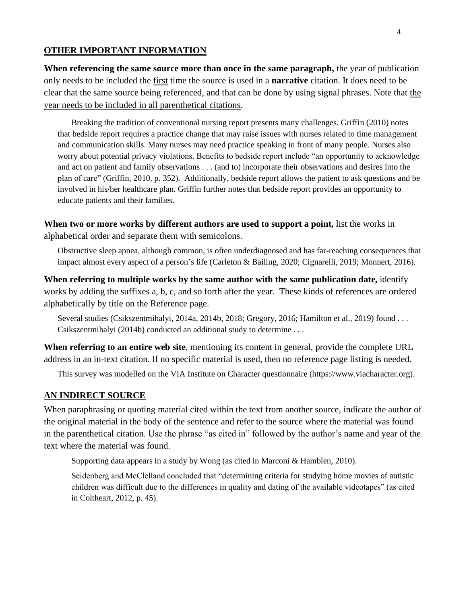#### **OTHER IMPORTANT INFORMATION**

**When referencing the same source more than once in the same paragraph,** the year of publication only needs to be included the first time the source is used in a **narrative** citation. It does need to be clear that the same source being referenced, and that can be done by using signal phrases. Note that the year needs to be included in all parenthetical citations.

Breaking the tradition of conventional nursing report presents many challenges. Griffin (2010) notes that bedside report requires a practice change that may raise issues with nurses related to time management and communication skills. Many nurses may need practice speaking in front of many people. Nurses also worry about potential privacy violations. Benefits to bedside report include "an opportunity to acknowledge and act on patient and family observations . . . (and to) incorporate their observations and desires into the plan of care" (Griffin, 2010, p. 352). Additionally, bedside report allows the patient to ask questions and be involved in his/her healthcare plan. Griffin further notes that bedside report provides an opportunity to educate patients and their families.

**When two or more works by different authors are used to support a point,** list the works in alphabetical order and separate them with semicolons.

Obstructive sleep apnea, although common, is often underdiagnosed and has far-reaching consequences that impact almost every aspect of a person's life (Carleton & Bailing, 2020; Cignarelli, 2019; Monnert, 2016).

When referring to multiple works by the same author with the same publication date, identify works by adding the suffixes a, b, c, and so forth after the year. These kinds of references are ordered alphabetically by title on the Reference page.

Several studies (Csikszentmihalyi, 2014a, 2014b, 2018; Gregory, 2016; Hamilton et al., 2019) found . . . Csikszentmihalyi (2014b) conducted an additional study to determine . . .

**When referring to an entire web site**, mentioning its content in general, provide the complete URL address in an in-text citation. If no specific material is used, then no reference page listing is needed.

This survey was modelled on the VIA Institute on Character questionnaire (https://www.viacharacter.org).

### **AN INDIRECT SOURCE**

When paraphrasing or quoting material cited within the text from another source, indicate the author of the original material in the body of the sentence and refer to the source where the material was found in the parenthetical citation. Use the phrase "as cited in" followed by the author's name and year of the text where the material was found.

Supporting data appears in a study by Wong (as cited in Marconi & Hamblen, 2010).

Seidenberg and McClelland concluded that "determining criteria for studying home movies of autistic children was difficult due to the differences in quality and dating of the available videotapes" (as cited in Coltheart, 2012, p. 45).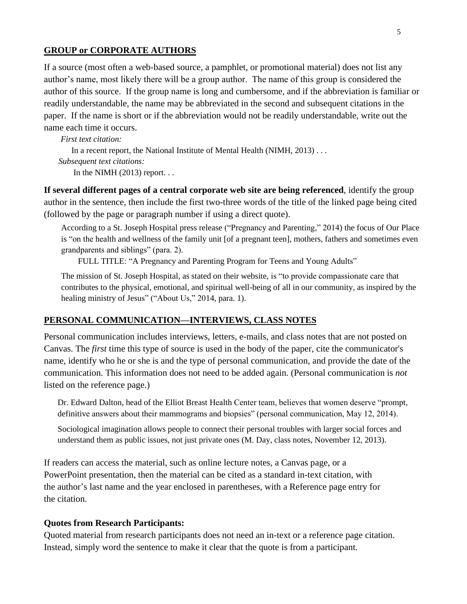#### **GROUP or CORPORATE AUTHORS**

If a source (most often a web-based source, a pamphlet, or promotional material) does not list any author's name, most likely there will be a group author. The name of this group is considered the author of this source. If the group name is long and cumbersome, and if the abbreviation is familiar or readily understandable, the name may be abbreviated in the second and subsequent citations in the paper. If the name is short or if the abbreviation would not be readily understandable, write out the name each time it occurs.

 *First text citation:*  In a recent report, the National Institute of Mental Health (NIMH, 2013) . . .  *Subsequent text citations:*  In the NIMH  $(2013)$  report...

**If several different pages of a central corporate web site are being referenced**, identify the group author in the sentence, then include the first two-three words of the title of the linked page being cited (followed by the page or paragraph number if using a direct quote).

According to a St. Joseph Hospital press release ("Pregnancy and Parenting," 2014) the focus of Our Place is "on the health and wellness of the family unit [of a pregnant teen], mothers, fathers and sometimes even grandparents and siblings" (para. 2).

FULL TITLE: "A Pregnancy and Parenting Program for Teens and Young Adults"

The mission of St. Joseph Hospital, as stated on their website, is "to provide compassionate care that contributes to the physical, emotional, and spiritual well-being of all in our community, as inspired by the healing ministry of Jesus" ("About Us," 2014, para. 1).

#### **PERSONAL COMMUNICATION—INTERVIEWS, CLASS NOTES**

Personal communication includes interviews, letters, e-mails, and class notes that are not posted on Canvas. The *first* time this type of source is used in the body of the paper, cite the communicator's name, identify who he or she is and the type of personal communication, and provide the date of the communication. This information does not need to be added again. (Personal communication is *not* listed on the reference page.)

Dr. Edward Dalton, head of the Elliot Breast Health Center team, believes that women deserve "prompt, definitive answers about their mammograms and biopsies" (personal communication, May 12, 2014).

Sociological imagination allows people to connect their personal troubles with larger social forces and understand them as public issues, not just private ones (M. Day, class notes, November 12, 2013).

If readers can access the material, such as online lecture notes, a Canvas page, or a PowerPoint presentation, then the material can be cited as a standard in-text citation, with the author's last name and the year enclosed in parentheses, with a Reference page entry for the citation.

#### **Quotes from Research Participants:**

Quoted material from research participants does not need an in-text or a reference page citation. Instead, simply word the sentence to make it clear that the quote is from a participant.